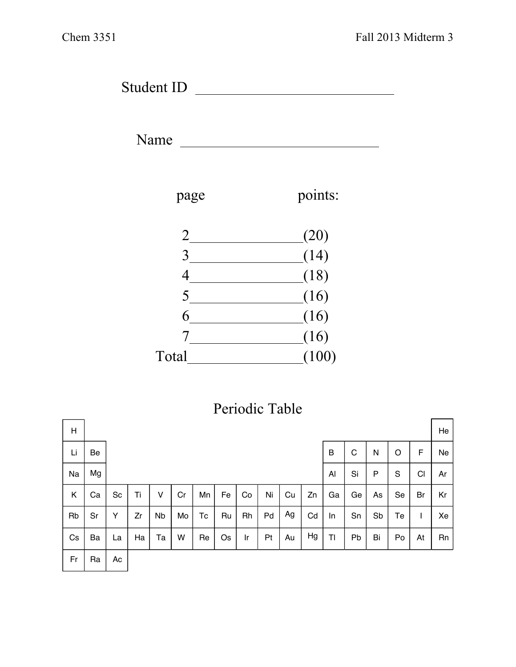Student ID

Name



## Periodic Table

| H  |    |    |    |           |    |    |    |    |    |    |    |    |    |    |    |                | He |
|----|----|----|----|-----------|----|----|----|----|----|----|----|----|----|----|----|----------------|----|
| Li | Be |    |    |           |    |    |    |    |    |    |    | B  | C  | N  | O  | F              | Ne |
| Na | Mg |    |    |           |    |    |    |    |    |    |    | Al | Si | P  | S  | C <sub>1</sub> | Ar |
| Κ  | Ca | Sc | Ti | v         | Cr | Mn | Fe | Co | Ni | Cu | Zn | Ga | Ge | As | Se | Br             | Kr |
| Rb | Sr | Y  | Zr | <b>Nb</b> | Mo | Tc | Ru | Rh | Pd | Ag | Cd | In | Sn | Sb | Te |                | Xe |
| Cs | Ba | La | Ha | Ta        | W  | Re | Os | Ir | Pt | Au | Hg | TI | Pb | Bi | Po | At             | Rn |
| Fr | Ra | Ac |    |           |    |    |    |    |    |    |    |    |    |    |    |                |    |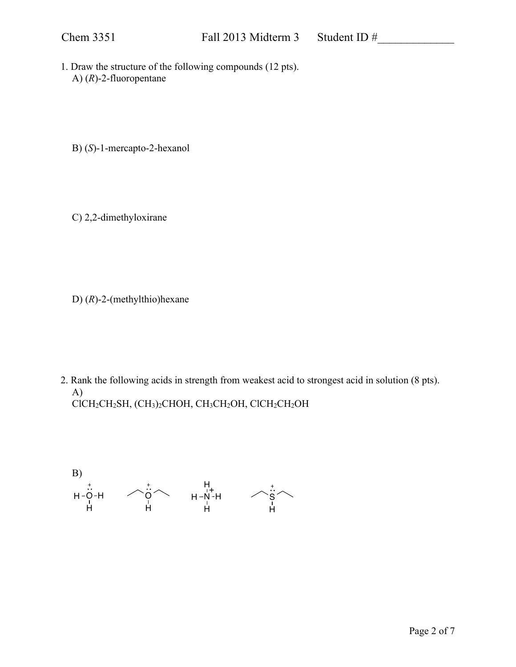1. Draw the structure of the following compounds (12 pts). A) (*R*)-2-fluoropentane

B) (*S*)-1-mercapto-2-hexanol

C) 2,2-dimethyloxirane

D) (*R*)-2-(methylthio)hexane

2. Rank the following acids in strength from weakest acid to strongest acid in solution (8 pts). A) ClCH2CH2SH, (CH3)2CHOH, CH3CH2OH, ClCH2CH2OH

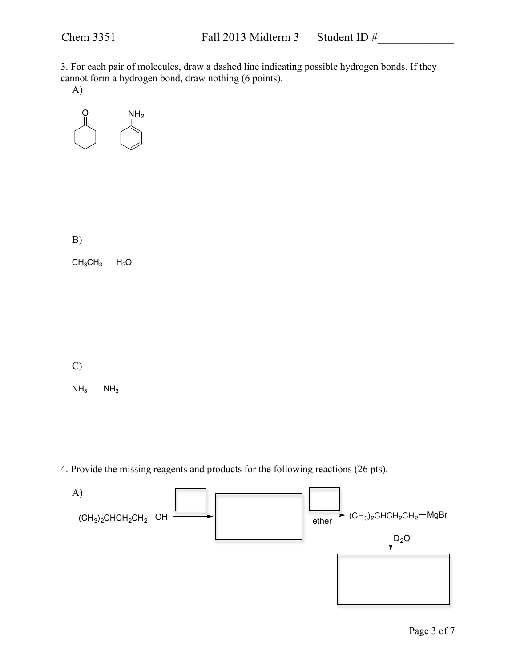3. For each pair of molecules, draw a dashed line indicating possible hydrogen bonds. If they cannot form a hydrogen bond, draw nothing (6 points).

A)



B)

 $CH_3CH_3$   $H_2O$ 

C)

 $NH<sub>3</sub>$  NH<sub>3</sub>

4. Provide the missing reagents and products for the following reactions (26 pts).

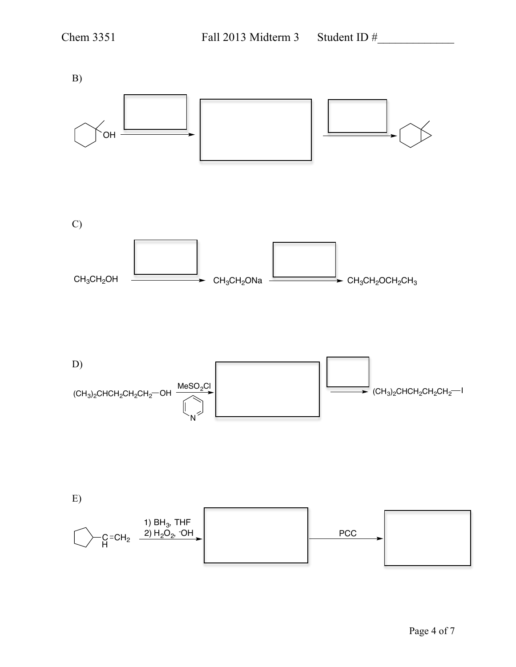B) OH C) CH3CH2ONa CH3CH2OCH2CH3 CH3CH2OH D) (CH<sub>3</sub>)<sub>2</sub>CHCH<sub>2</sub>CH<sub>2</sub>CH<sub>2</sub>—OH MeSO $_2$ Cl N  $\Rightarrow$  (CH<sub>3</sub>)<sub>2</sub>CHCH<sub>2</sub>CH<sub>2</sub>CH<sub>2</sub><sup>---</sup>I E) C C=CH<sub>2</sub><br>H 1) BH $_{\rm 3}$ , THF 2) H<sub>2</sub>O<sub>2</sub>, -OH PCC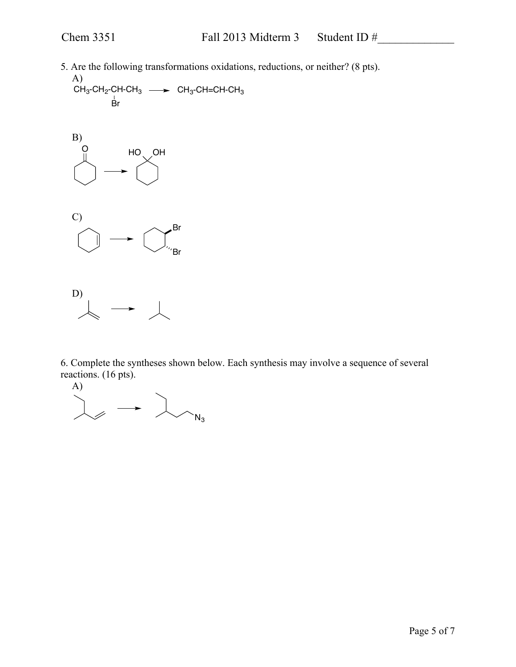5. Are the following transformations oxidations, reductions, or neither? (8 pts).

A)  $\rm CH_3\text{-}CH_2\text{-}CH\text{-}CH_3 \longrightarrow CH_3\text{-}CH\text{-}CH\text{-}CH_3$ Br







6. Complete the syntheses shown below. Each synthesis may involve a sequence of several reactions. (16 pts).

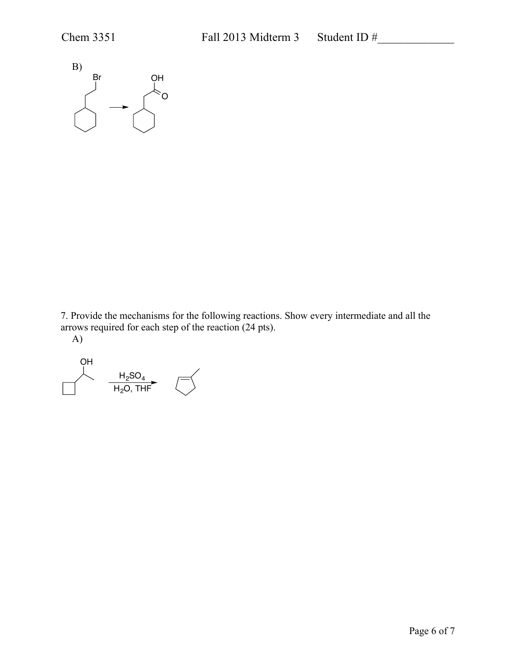

7. Provide the mechanisms for the following reactions. Show every intermediate and all the arrows required for each step of the reaction (24 pts).

A)

OH  $_{\rm H_2$ SO $_{\rm 4}$  $\mathsf{H}_2\mathsf{O},\, \mathsf{T}\mathsf{H}\mathsf{F}$